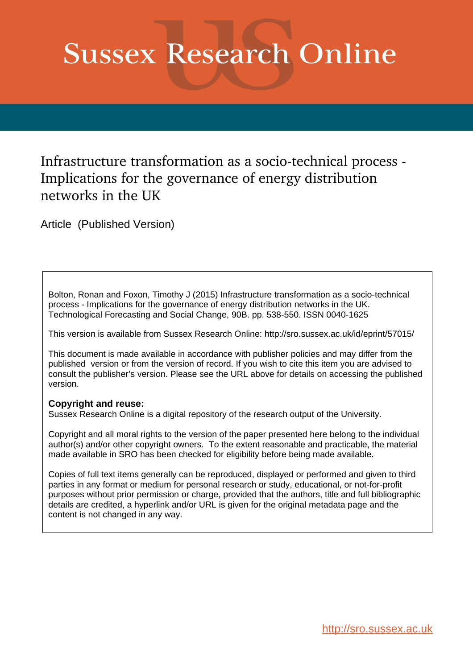# **Sussex Research Online**

Infrastructure transformation as a socio-technical process -Implications for the governance of energy distribution networks in the UK

Article (Published Version)

Bolton, Ronan and Foxon, Timothy J (2015) Infrastructure transformation as a socio-technical process - Implications for the governance of energy distribution networks in the UK. Technological Forecasting and Social Change, 90B. pp. 538-550. ISSN 0040-1625

This version is available from Sussex Research Online: http://sro.sussex.ac.uk/id/eprint/57015/

This document is made available in accordance with publisher policies and may differ from the published version or from the version of record. If you wish to cite this item you are advised to consult the publisher's version. Please see the URL above for details on accessing the published version.

# **Copyright and reuse:**

Sussex Research Online is a digital repository of the research output of the University.

Copyright and all moral rights to the version of the paper presented here belong to the individual author(s) and/or other copyright owners. To the extent reasonable and practicable, the material made available in SRO has been checked for eligibility before being made available.

Copies of full text items generally can be reproduced, displayed or performed and given to third parties in any format or medium for personal research or study, educational, or not-for-profit purposes without prior permission or charge, provided that the authors, title and full bibliographic details are credited, a hyperlink and/or URL is given for the original metadata page and the content is not changed in any way.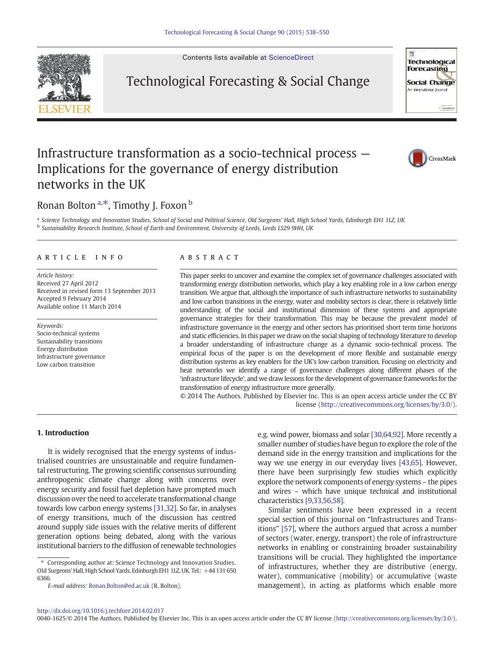Contents lists available at [ScienceDirect](http://www.sciencedirect.com/science/journal/00401625)

Technological Forecasting & Social Change



**Technological** Forecasting **Social Change** An International Iournal

CrossMark

# Infrastructure transformation as a socio-technical process — Implications for the governance of energy distribution networks in the UK

## Ronan Bolton <sup>a,\*</sup>, Timothy J. Foxon  $^{\rm b}$

a Science Technology and Innovation Studies, School of Social and Political Science, Old Surgeons' Hall, High School Yards, Edinburgh EH1 1LZ, UK <sup>b</sup> Sustainability Research Institute, School of Earth and Environment, University of Leeds, Leeds LS29 9HH, UK

#### article info abstract

Article history: Received 27 April 2012 Received in revised form 13 September 2013 Accepted 9 February 2014 Available online 11 March 2014

Keywords: Socio-technical systems Sustainability transitions Energy distribution Infrastructure governance Low carbon transition

This paper seeks to uncover and examine the complex set of governance challenges associated with transforming energy distribution networks, which play a key enabling role in a low carbon energy transition. We argue that, although the importance of such infrastructure networks to sustainability and low carbon transitions in the energy, water and mobility sectors is clear, there is relatively little understanding of the social and institutional dimension of these systems and appropriate governance strategies for their transformation. This may be because the prevalent model of infrastructure governance in the energy and other sectors has prioritised short term time horizons and static efficiencies. In this paper we draw on the social shaping of technology literature to develop a broader understanding of infrastructure change as a dynamic socio-technical process. The empirical focus of the paper is on the development of more flexible and sustainable energy distribution systems as key enablers for the UK's low carbon transition. Focusing on electricity and heat networks we identify a range of governance challenges along different phases of the 'infrastructure lifecycle', and we draw lessons for the development of governance frameworks for the transformation of energy infrastructure more generally.

© 2014 The Authors. Published by Elsevier Inc. This is an open access article under the CC BY license (http://creativecommons.org/licenses/by/3.0/).

#### 1. Introduction

It is widely recognised that the energy systems of industrialised countries are unsustainable and require fundamental restructuring. The growing scientific consensus surrounding anthropogenic climate change along with concerns over energy security and fossil fuel depletion have prompted much discussion over the need to accelerate transformational change towards low carbon energy systems [\[31,32\].](#page-12-0) So far, in analyses of energy transitions, much of the discussion has centred around supply side issues with the relative merits of different generation options being debated, along with the various institutional barriers to the diffusion of renewable technologies

Corresponding author at: Science Technology and Innovation Studies, Old Surgeons' Hall, High School Yards, Edinburgh EH1 1LZ, UK. Tel.: +44 131 650 6366.

E-mail address: [Ronan.Bolton@ed.ac.uk](mailto:Ronan.Bolton@ed.ac.uk) (R. Bolton).

e.g. wind power, biomass and solar [\[30,64,92\].](#page-12-0) More recently a smaller number of studies have begun to explore the role of the demand side in the energy transition and implications for the way we use energy in our everyday lives [\[43,65\]](#page-12-0). However, there have been surprisingly few studies which explicitly explore the network components of energy systems – the pipes and wires – which have unique technical and institutional characteristics [\[9,33,56,58\]](#page-12-0).

Similar sentiments have been expressed in a recent special section of this journal on "Infrastructures and Transitions" [\[57\]](#page-13-0), where the authors argued that across a number of sectors (water, energy, transport) the role of infrastructure networks in enabling or constraining broader sustainability transitions will be crucial. They highlighted the importance of infrastructures, whether they are distributive (energy, water), communicative (mobility) or accumulative (waste management), in acting as platforms which enable more

<http://dx.doi.org/10.1016/j.techfore.2014.02.017>

0040-1625/© 2014 The Authors. Published by Elsevier Inc. This is an open access article under the CC BY license (http://creativecommons.org/licenses/by/3.0/).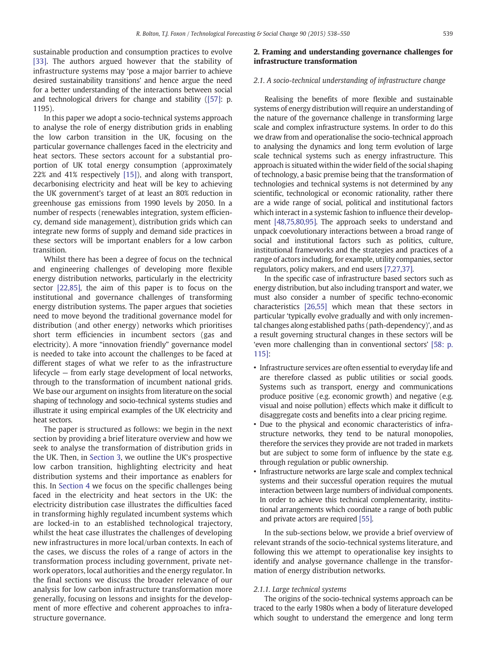<span id="page-2-0"></span>sustainable production and consumption practices to evolve [\[33\].](#page-12-0) The authors argued however that the stability of infrastructure systems may 'pose a major barrier to achieve desired sustainability transitions' and hence argue the need for a better understanding of the interactions between social and technological drivers for change and stability ([\[57\]:](#page-13-0) p. 1195).

In this paper we adopt a socio-technical systems approach to analyse the role of energy distribution grids in enabling the low carbon transition in the UK, focusing on the particular governance challenges faced in the electricity and heat sectors. These sectors account for a substantial proportion of UK total energy consumption (approximately 22% and 41% respectively [\[15\]\)](#page-12-0), and along with transport, decarbonising electricity and heat will be key to achieving the UK government's target of at least an 80% reduction in greenhouse gas emissions from 1990 levels by 2050. In a number of respects (renewables integration, system efficiency, demand side management), distribution grids which can integrate new forms of supply and demand side practices in these sectors will be important enablers for a low carbon transition.

Whilst there has been a degree of focus on the technical and engineering challenges of developing more flexible energy distribution networks, particularly in the electricity sector [\[22,85\]](#page-12-0), the aim of this paper is to focus on the institutional and governance challenges of transforming energy distribution systems. The paper argues that societies need to move beyond the traditional governance model for distribution (and other energy) networks which prioritises short term efficiencies in incumbent sectors (gas and electricity). A more "innovation friendly" governance model is needed to take into account the challenges to be faced at different stages of what we refer to as the infrastructure lifecycle — from early stage development of local networks, through to the transformation of incumbent national grids. We base our argument on insights from literature on the social shaping of technology and socio-technical systems studies and illustrate it using empirical examples of the UK electricity and heat sectors.

The paper is structured as follows: we begin in the next section by providing a brief literature overview and how we seek to analyse the transformation of distribution grids in the UK. Then, in [Section 3](#page-4-0), we outline the UK's prospective low carbon transition, highlighting electricity and heat distribution systems and their importance as enablers for this. In [Section 4](#page-6-0) we focus on the specific challenges being faced in the electricity and heat sectors in the UK: the electricity distribution case illustrates the difficulties faced in transforming highly regulated incumbent systems which are locked-in to an established technological trajectory, whilst the heat case illustrates the challenges of developing new infrastructures in more local/urban contexts. In each of the cases, we discuss the roles of a range of actors in the transformation process including government, private network operators, local authorities and the energy regulator. In the final sections we discuss the broader relevance of our analysis for low carbon infrastructure transformation more generally, focusing on lessons and insights for the development of more effective and coherent approaches to infrastructure governance.

#### 2. Framing and understanding governance challenges for infrastructure transformation

#### 2.1. A socio-technical understanding of infrastructure change

Realising the benefits of more flexible and sustainable systems of energy distribution will require an understanding of the nature of the governance challenge in transforming large scale and complex infrastructure systems. In order to do this we draw from and operationalise the socio-technical approach to analysing the dynamics and long term evolution of large scale technical systems such as energy infrastructure. This approach is situated within the wider field of the social shaping of technology, a basic premise being that the transformation of technologies and technical systems is not determined by any scientific, technological or economic rationality, rather there are a wide range of social, political and institutional factors which interact in a systemic fashion to influence their development [\[48,75,80,95\]](#page-12-0). The approach seeks to understand and unpack coevolutionary interactions between a broad range of social and institutional factors such as politics, culture, institutional frameworks and the strategies and practices of a range of actors including, for example, utility companies, sector regulators, policy makers, and end users [\[7,27,37\]](#page-12-0).

In the specific case of infrastructure based sectors such as energy distribution, but also including transport and water, we must also consider a number of specific techno-economic characteristics [\[26,55\]](#page-12-0) which mean that these sectors in particular 'typically evolve gradually and with only incremental changes along established paths (path-dependency)', and as a result governing structural changes in these sectors will be 'even more challenging than in conventional sectors' [\[58: p.](#page-13-0) [115\]](#page-13-0):

- Infrastructure services are often essential to everyday life and are therefore classed as public utilities or social goods. Systems such as transport, energy and communications produce positive (e.g. economic growth) and negative (e.g. visual and noise pollution) effects which make it difficult to disaggregate costs and benefits into a clear pricing regime.
- Due to the physical and economic characteristics of infrastructure networks, they tend to be natural monopolies, therefore the services they provide are not traded in markets but are subject to some form of influence by the state e.g. through regulation or public ownership.
- Infrastructure networks are large scale and complex technical systems and their successful operation requires the mutual interaction between large numbers of individual components. In order to achieve this technical complementarity, institutional arrangements which coordinate a range of both public and private actors are required [\[55\]](#page-13-0).

In the sub-sections below, we provide a brief overview of relevant strands of the socio-technical systems literature, and following this we attempt to operationalise key insights to identify and analyse governance challenge in the transformation of energy distribution networks.

#### 2.1.1. Large technical systems

The origins of the socio-technical systems approach can be traced to the early 1980s when a body of literature developed which sought to understand the emergence and long term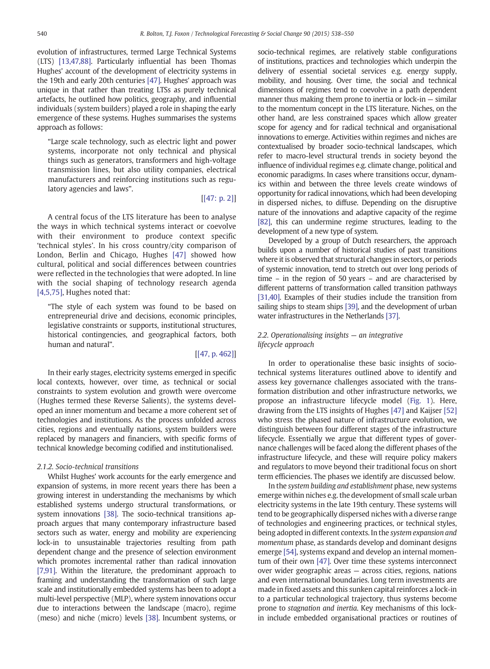evolution of infrastructures, termed Large Technical Systems (LTS) [\[13,47,88\]](#page-12-0). Particularly influential has been Thomas Hughes' account of the development of electricity systems in the 19th and early 20th centuries [\[47\].](#page-12-0) Hughes' approach was unique in that rather than treating LTSs as purely technical artefacts, he outlined how politics, geography, and influential individuals (system builders) played a role in shaping the early emergence of these systems. Hughes summarises the systems approach as follows:

"Large scale technology, such as electric light and power systems, incorporate not only technical and physical things such as generators, transformers and high-voltage transmission lines, but also utility companies, electrical manufacturers and reinforcing institutions such as regulatory agencies and laws".

#### [\[\[47: p. 2\]\]](#page-12-0)

A central focus of the LTS literature has been to analyse the ways in which technical systems interact or coevolve with their environment to produce context specific 'technical styles'. In his cross country/city comparison of London, Berlin and Chicago, Hughes [\[47\]](#page-12-0) showed how cultural, political and social differences between countries were reflected in the technologies that were adopted. In line with the social shaping of technology research agenda [\[4,5,75\]](#page-12-0), Hughes noted that:

"The style of each system was found to be based on entrepreneurial drive and decisions, economic principles, legislative constraints or supports, institutional structures, historical contingencies, and geographical factors, both human and natural".

#### [\[\[47, p. 462\]\]](#page-12-0)

In their early stages, electricity systems emerged in specific local contexts, however, over time, as technical or social constraints to system evolution and growth were overcome (Hughes termed these Reverse Salients), the systems developed an inner momentum and became a more coherent set of technologies and institutions. As the process unfolded across cities, regions and eventually nations, system builders were replaced by managers and financiers, with specific forms of technical knowledge becoming codified and institutionalised.

#### 2.1.2. Socio-technical transitions

Whilst Hughes' work accounts for the early emergence and expansion of systems, in more recent years there has been a growing interest in understanding the mechanisms by which established systems undergo structural transformations, or system innovations [\[38\].](#page-12-0) The socio-technical transitions approach argues that many contemporary infrastructure based sectors such as water, energy and mobility are experiencing lock-in to unsustainable trajectories resulting from path dependent change and the presence of selection environment which promotes incremental rather than radical innovation [\[7,91\]](#page-12-0). Within the literature, the predominant approach to framing and understanding the transformation of such large scale and institutionally embedded systems has been to adopt a multi-level perspective (MLP), where system innovations occur due to interactions between the landscape (macro), regime (meso) and niche (micro) levels [\[38\].](#page-12-0) Incumbent systems, or socio-technical regimes, are relatively stable configurations of institutions, practices and technologies which underpin the delivery of essential societal services e.g. energy supply, mobility, and housing. Over time, the social and technical dimensions of regimes tend to coevolve in a path dependent manner thus making them prone to inertia or lock-in — similar to the momentum concept in the LTS literature. Niches, on the other hand, are less constrained spaces which allow greater scope for agency and for radical technical and organisational innovations to emerge. Activities within regimes and niches are contextualised by broader socio-technical landscapes, which refer to macro-level structural trends in society beyond the influence of individual regimes e.g. climate change, political and economic paradigms. In cases where transitions occur, dynamics within and between the three levels create windows of opportunity for radical innovations, which had been developing in dispersed niches, to diffuse. Depending on the disruptive nature of the innovations and adaptive capacity of the regime [\[82\]](#page-13-0), this can undermine regime structures, leading to the development of a new type of system.

Developed by a group of Dutch researchers, the approach builds upon a number of historical studies of past transitions where it is observed that structural changes in sectors, or periods of systemic innovation, tend to stretch out over long periods of time – in the region of 50 years – and are characterised by different patterns of transformation called transition pathways [\[31,40\].](#page-12-0) Examples of their studies include the transition from sailing ships to steam ships [\[39\]](#page-12-0), and the development of urban water infrastructures in the Netherlands [\[37\].](#page-12-0)

#### 2.2. Operationalising insights — an integrative lifecycle approach

In order to operationalise these basic insights of sociotechnical systems literatures outlined above to identify and assess key governance challenges associated with the transformation distribution and other infrastructure networks, we propose an infrastructure lifecycle model ([Fig. 1\)](#page-4-0). Here, drawing from the LTS insights of Hughes [\[47\]](#page-12-0) and Kaijser [\[52\]](#page-13-0) who stress the phased nature of infrastructure evolution, we distinguish between four different stages of the infrastructure lifecycle. Essentially we argue that different types of governance challenges will be faced along the different phases of the infrastructure lifecycle, and these will require policy makers and regulators to move beyond their traditional focus on short term efficiencies. The phases we identify are discussed below.

In the system building and establishment phase, new systems emerge within niches e.g. the development of small scale urban electricity systems in the late 19th century. These systems will tend to be geographically dispersed niches with a diverse range of technologies and engineering practices, or technical styles, being adopted in different contexts. In the system expansion and momentum phase, as standards develop and dominant designs emerge [\[54\]](#page-13-0), systems expand and develop an internal momentum of their own [\[47\]](#page-12-0). Over time these systems interconnect over wider geographic areas — across cities, regions, nations and even international boundaries. Long term investments are made in fixed assets and this sunken capital reinforces a lock-in to a particular technological trajectory, thus systems become prone to stagnation and inertia. Key mechanisms of this lockin include embedded organisational practices or routines of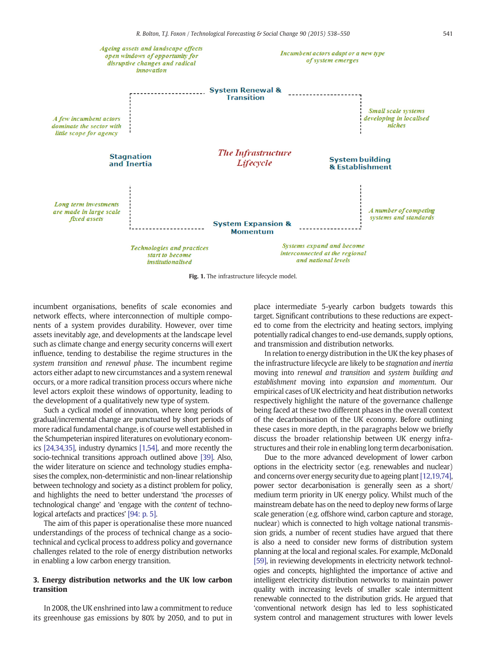<span id="page-4-0"></span>

Fig. 1. The infrastructure lifecycle model.

incumbent organisations, benefits of scale economies and network effects, where interconnection of multiple components of a system provides durability. However, over time assets inevitably age, and developments at the landscape level such as climate change and energy security concerns will exert influence, tending to destabilise the regime structures in the system transition and renewal phase. The incumbent regime actors either adapt to new circumstances and a system renewal occurs, or a more radical transition process occurs where niche level actors exploit these windows of opportunity, leading to the development of a qualitatively new type of system.

Such a cyclical model of innovation, where long periods of gradual/incremental change are punctuated by short periods of more radical fundamental change, is of course well established in the Schumpeterian inspired literatures on evolutionary economics [\[24,34,35\]](#page-12-0), industry dynamics [\[1,54\],](#page-12-0) and more recently the socio-technical transitions approach outlined above [\[39\].](#page-12-0) Also, the wider literature on science and technology studies emphasises the complex, non-deterministic and non-linear relationship between technology and society as a distinct problem for policy, and highlights the need to better understand 'the processes of technological change' and 'engage with the content of technological artefacts and practices' [\[94: p. 5\]](#page-13-0).

The aim of this paper is operationalise these more nuanced understandings of the process of technical change as a sociotechnical and cyclical process to address policy and governance challenges related to the role of energy distribution networks in enabling a low carbon energy transition.

#### 3. Energy distribution networks and the UK low carbon transition

In 2008, the UK enshrined into law a commitment to reduce its greenhouse gas emissions by 80% by 2050, and to put in place intermediate 5-yearly carbon budgets towards this target. Significant contributions to these reductions are expected to come from the electricity and heating sectors, implying potentially radical changes to end-use demands, supply options, and transmission and distribution networks.

In relation to energy distribution in the UK the key phases of the infrastructure lifecycle are likely to be stagnation and inertia moving into renewal and transition and system building and establishment moving into expansion and momentum. Our empirical cases of UK electricity and heat distribution networks respectively highlight the nature of the governance challenge being faced at these two different phases in the overall context of the decarbonisation of the UK economy. Before outlining these cases in more depth, in the paragraphs below we briefly discuss the broader relationship between UK energy infrastructures and their role in enabling long term decarbonisation.

Due to the more advanced development of lower carbon options in the electricity sector (e.g. renewables and nuclear) and concerns over energy security due to ageing plant[\[12,19,74\]](#page-12-0), power sector decarbonisation is generally seen as a short/ medium term priority in UK energy policy. Whilst much of the mainstream debate has on the need to deploy new forms of large scale generation (e.g. offshore wind, carbon capture and storage, nuclear) which is connected to high voltage national transmission grids, a number of recent studies have argued that there is also a need to consider new forms of distribution system planning at the local and regional scales. For example, McDonald [\[59\],](#page-13-0) in reviewing developments in electricity network technologies and concepts, highlighted the importance of active and intelligent electricity distribution networks to maintain power quality with increasing levels of smaller scale intermittent renewable connected to the distribution grids. He argued that 'conventional network design has led to less sophisticated system control and management structures with lower levels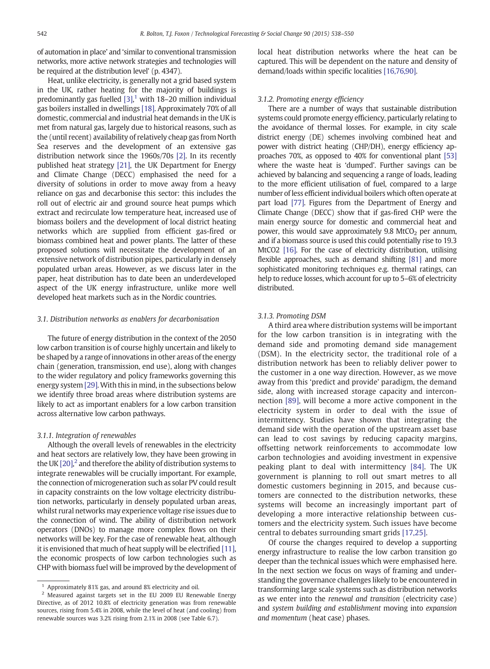of automation in place' and 'similar to conventional transmission networks, more active network strategies and technologies will be required at the distribution level' (p. 4347).

Heat, unlike electricity, is generally not a grid based system in the UK, rather heating for the majority of buildings is predominantly gas fuelled  $[3]$ ,<sup>1</sup> with 18–20 million individual gas boilers installed in dwellings [\[18\].](#page-12-0) Approximately 70% of all domestic, commercial and industrial heat demands in the UK is met from natural gas, largely due to historical reasons, such as the (until recent) availability of relatively cheap gas from North Sea reserves and the development of an extensive gas distribution network since the 1960s/70s [\[2\].](#page-12-0) In its recently published heat strategy [\[21\]](#page-12-0), the UK Department for Energy and Climate Change (DECC) emphasised the need for a diversity of solutions in order to move away from a heavy reliance on gas and decarbonise this sector: this includes the roll out of electric air and ground source heat pumps which extract and recirculate low temperature heat, increased use of biomass boilers and the development of local district heating networks which are supplied from efficient gas-fired or biomass combined heat and power plants. The latter of these proposed solutions will necessitate the development of an extensive network of distribution pipes, particularly in densely populated urban areas. However, as we discuss later in the paper, heat distribution has to date been an underdeveloped aspect of the UK energy infrastructure, unlike more well developed heat markets such as in the Nordic countries.

#### 3.1. Distribution networks as enablers for decarbonisation

The future of energy distribution in the context of the 2050 low carbon transition is of course highly uncertain and likely to be shaped by a range of innovations in other areas of the energy chain (generation, transmission, end use), along with changes to the wider regulatory and policy frameworks governing this energy system [\[29\]](#page-12-0). With this in mind, in the subsections below we identify three broad areas where distribution systems are likely to act as important enablers for a low carbon transition across alternative low carbon pathways.

#### 3.1.1. Integration of renewables

Although the overall levels of renewables in the electricity and heat sectors are relatively low, they have been growing in the UK  $[20]$ ,<sup>2</sup> and therefore the ability of distribution systems to integrate renewables will be crucially important. For example, the connection of microgeneration such as solar PV could result in capacity constraints on the low voltage electricity distribution networks, particularly in densely populated urban areas, whilst rural networks may experience voltage rise issues due to the connection of wind. The ability of distribution network operators (DNOs) to manage more complex flows on their networks will be key. For the case of renewable heat, although it is envisioned that much of heat supply will be electrified [\[11\],](#page-12-0) the economic prospects of low carbon technologies such as CHP with biomass fuel will be improved by the development of local heat distribution networks where the heat can be captured. This will be dependent on the nature and density of demand/loads within specific localities [\[16,76,90\].](#page-12-0)

#### 3.1.2. Promoting energy efficiency

There are a number of ways that sustainable distribution systems could promote energy efficiency, particularly relating to the avoidance of thermal losses. For example, in city scale district energy (DE) schemes involving combined heat and power with district heating (CHP/DH), energy efficiency approaches 70%, as opposed to 40% for conventional plant [\[53\]](#page-13-0) where the waste heat is 'dumped'. Further savings can be achieved by balancing and sequencing a range of loads, leading to the more efficient utilisation of fuel, compared to a large number of less efficient individual boilers which often operate at part load [\[77\].](#page-13-0) Figures from the Department of Energy and Climate Change (DECC) show that if gas-fired CHP were the main energy source for domestic and commercial heat and power, this would save approximately 9.8 MtCO<sub>2</sub> per annum, and if a biomass source is used this could potentially rise to 19.3 MtCO2 [\[16\].](#page-12-0) For the case of electricity distribution, utilising flexible approaches, such as demand shifting [\[81\]](#page-13-0) and more sophisticated monitoring techniques e.g. thermal ratings, can help to reduce losses, which account for up to 5–6% of electricity distributed.

#### 3.1.3. Promoting DSM

A third area where distribution systems will be important for the low carbon transition is in integrating with the demand side and promoting demand side management (DSM). In the electricity sector, the traditional role of a distribution network has been to reliably deliver power to the customer in a one way direction. However, as we move away from this 'predict and provide' paradigm, the demand side, along with increased storage capacity and interconnection [\[89\]](#page-13-0), will become a more active component in the electricity system in order to deal with the issue of intermittency. Studies have shown that integrating the demand side with the operation of the upstream asset base can lead to cost savings by reducing capacity margins, offsetting network reinforcements to accommodate low carbon technologies and avoiding investment in expensive peaking plant to deal with intermittency [\[84\]](#page-13-0). The UK government is planning to roll out smart metres to all domestic customers beginning in 2015, and because customers are connected to the distribution networks, these systems will become an increasingly important part of developing a more interactive relationship between customers and the electricity system. Such issues have become central to debates surrounding smart grids [\[17,25\]](#page-12-0).

Of course the changes required to develop a supporting energy infrastructure to realise the low carbon transition go deeper than the technical issues which were emphasised here. In the next section we focus on ways of framing and understanding the governance challenges likely to be encountered in transforming large scale systems such as distribution networks as we enter into the renewal and transition (electricity case) and system building and establishment moving into expansion and momentum (heat case) phases.

 $1$  Approximately 81% gas, and around 8% electricity and oil.

<sup>2</sup> Measured against targets set in the EU 2009 EU Renewable Energy Directive, as of 2012 10.8% of electricity generation was from renewable sources, rising from 5.4% in 2008, while the level of heat (and cooling) from renewable sources was 3.2% rising from 2.1% in 2008 (see Table 6.7).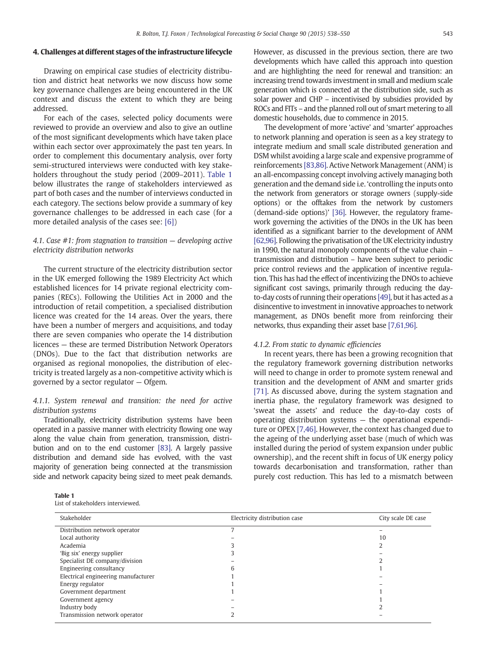### <span id="page-6-0"></span>4. Challenges at different stages of the infrastructure lifecycle

Drawing on empirical case studies of electricity distribution and district heat networks we now discuss how some key governance challenges are being encountered in the UK context and discuss the extent to which they are being addressed.

For each of the cases, selected policy documents were reviewed to provide an overview and also to give an outline of the most significant developments which have taken place within each sector over approximately the past ten years. In order to complement this documentary analysis, over forty semi-structured interviews were conducted with key stakeholders throughout the study period (2009–2011). Table 1 below illustrates the range of stakeholders interviewed as part of both cases and the number of interviews conducted in each category. The sections below provide a summary of key governance challenges to be addressed in each case (for a more detailed analysis of the cases see: [\[6\]](#page-12-0))

#### 4.1. Case #1: from stagnation to transition — developing active electricity distribution networks

The current structure of the electricity distribution sector in the UK emerged following the 1989 Electricity Act which established licences for 14 private regional electricity companies (RECs). Following the Utilities Act in 2000 and the introduction of retail competition, a specialised distribution licence was created for the 14 areas. Over the years, there have been a number of mergers and acquisitions, and today there are seven companies who operate the 14 distribution licences — these are termed Distribution Network Operators (DNOs). Due to the fact that distribution networks are organised as regional monopolies, the distribution of electricity is treated largely as a non-competitive activity which is governed by a sector regulator — Ofgem.

#### 4.1.1. System renewal and transition: the need for active distribution systems

Traditionally, electricity distribution systems have been operated in a passive manner with electricity flowing one way along the value chain from generation, transmission, distribution and on to the end customer [\[83\].](#page-13-0) A largely passive distribution and demand side has evolved, with the vast majority of generation being connected at the transmission side and network capacity being sized to meet peak demands.

|  | Table 1 |                    |  |  |
|--|---------|--------------------|--|--|
|  |         | List of stakeholds |  |  |

List of stakeholders interviewed.

However, as discussed in the previous section, there are two developments which have called this approach into question and are highlighting the need for renewal and transition: an increasing trend towards investment in small and medium scale generation which is connected at the distribution side, such as solar power and CHP – incentivised by subsidies provided by ROCs and FITs – and the planned roll out of smart metering to all domestic households, due to commence in 2015.

The development of more 'active' and 'smarter' approaches to network planning and operation is seen as a key strategy to integrate medium and small scale distributed generation and DSM whilst avoiding a large scale and expensive programme of reinforcements [\[83,86\].](#page-13-0) Active Network Management (ANM) is an all-encompassing concept involving actively managing both generation and the demand side i.e. 'controlling the inputs onto the network from generators or storage owners (supply-side options) or the offtakes from the network by customers (demand-side options)' [\[36\]](#page-12-0). However, the regulatory framework governing the activities of the DNOs in the UK has been identified as a significant barrier to the development of ANM [\[62,96\].](#page-13-0) Following the privatisation of the UK electricity industry in 1990, the natural monopoly components of the value chain – transmission and distribution – have been subject to periodic price control reviews and the application of incentive regulation. This has had the effect of incentivizing the DNOs to achieve significant cost savings, primarily through reducing the dayto-day costs of running their operations [\[49\],](#page-12-0) but it has acted as a disincentive to investment in innovative approaches to network management, as DNOs benefit more from reinforcing their networks, thus expanding their asset base [\[7,61,96\].](#page-12-0)

#### 4.1.2. From static to dynamic efficiencies

In recent years, there has been a growing recognition that the regulatory framework governing distribution networks will need to change in order to promote system renewal and transition and the development of ANM and smarter grids [\[71\].](#page-13-0) As discussed above, during the system stagnation and inertia phase, the regulatory framework was designed to 'sweat the assets' and reduce the day-to-day costs of operating distribution systems — the operational expenditure or OPEX [\[7,46\].](#page-12-0) However, the context has changed due to the ageing of the underlying asset base (much of which was installed during the period of system expansion under public ownership), and the recent shift in focus of UK energy policy towards decarbonisation and transformation, rather than purely cost reduction. This has led to a mismatch between

| Stakeholder                         | Electricity distribution case | City scale DE case |
|-------------------------------------|-------------------------------|--------------------|
| Distribution network operator       |                               |                    |
| Local authority                     |                               | 10                 |
| Academia                            |                               |                    |
| 'Big six' energy supplier           |                               |                    |
| Specialist DE company/division      |                               |                    |
| Engineering consultancy             |                               |                    |
| Electrical engineering manufacturer |                               |                    |
| Energy regulator                    |                               |                    |
| Government department               |                               |                    |
| Government agency                   |                               |                    |
| Industry body                       |                               |                    |
| Transmission network operator       |                               |                    |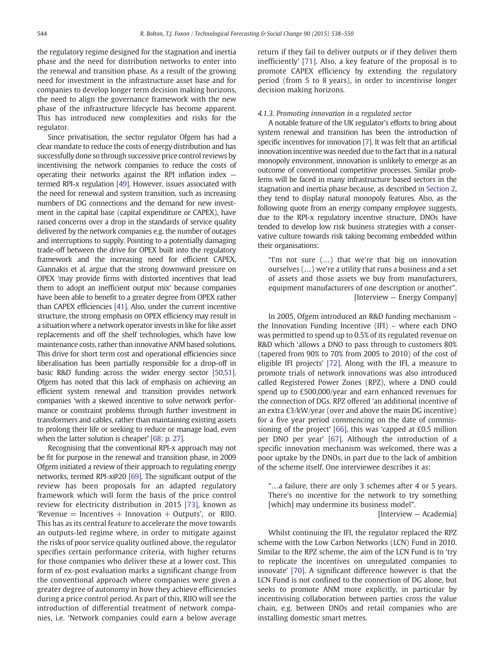the regulatory regime designed for the stagnation and inertia phase and the need for distribution networks to enter into the renewal and transition phase. As a result of the growing need for investment in the infrastructure asset base and for companies to develop longer term decision making horizons, the need to align the governance framework with the new phase of the infrastructure lifecycle has become apparent. This has introduced new complexities and risks for the regulator.

Since privatisation, the sector regulator Ofgem has had a clear mandate to reduce the costs of energy distribution and has successfully done so through successive price control reviews by incentivising the network companies to reduce the costs of operating their networks against the RPI inflation index termed RPI-x regulation [\[49\]](#page-12-0). However, issues associated with the need for renewal and system transition, such as increasing numbers of DG connections and the demand for new investment in the capital base (capital expenditure or CAPEX), have raised concerns over a drop in the standards of service quality delivered by the network companies e.g. the number of outages and interruptions to supply. Pointing to a potentially damaging trade-off between the drive for OPEX built into the regulatory framework and the increasing need for efficient CAPEX, Giannakis et al. argue that the strong downward pressure on OPEX 'may provide firms with distorted incentives that lead them to adopt an inefficient output mix' because companies have been able to benefit to a greater degree from OPEX rather than CAPEX efficiencies [\[41\].](#page-12-0) Also, under the current incentive structure, the strong emphasis on OPEX efficiency may result in a situation where a network operator invests in like for like asset replacements and off the shelf technologies, which have low maintenance costs, rather than innovative ANM based solutions. This drive for short term cost and operational efficiencies since liberalisation has been partially responsible for a drop-off in basic R&D funding across the wider energy sector [\[50,51\].](#page-12-0) Ofgem has noted that this lack of emphasis on achieving an efficient system renewal and transition provides network companies 'with a skewed incentive to solve network performance or constraint problems through further investment in transformers and cables, rather than maintaining existing assets to prolong their life or seeking to reduce or manage load, even when the latter solution is cheaper' [\[68: p. 27\]](#page-13-0).

Recognising that the conventional RPI-x approach may not be fit for purpose in the renewal and transition phase, in 2009 Ofgem initiated a review of their approach to regulating energy networks, termed RPI-x@20 [\[69\].](#page-13-0) The significant output of the review has been proposals for an adapted regulatory framework which will form the basis of the price control review for electricity distribution in 2015 [\[73\]](#page-13-0), known as 'Revenue  $=$  Incentives  $+$  Innovation  $+$  Outputs', or RIIO. This has as its central feature to accelerate the move towards an outputs-led regime where, in order to mitigate against the risks of poor service quality outlined above, the regulator specifies certain performance criteria, with higher returns for those companies who deliver these at a lower cost. This form of ex-post evaluation marks a significant change from the conventional approach where companies were given a greater degree of autonomy in how they achieve efficiencies during a price control period. As part of this, RIIO will see the introduction of differential treatment of network companies, i.e. 'Network companies could earn a below average

return if they fail to deliver outputs or if they deliver them inefficiently' [\[71\].](#page-13-0) Also, a key feature of the proposal is to promote CAPEX efficiency by extending the regulatory period (from 5 to 8 years), in order to incentivise longer decision making horizons.

#### 4.1.3. Promoting innovation in a regulated sector

A notable feature of the UK regulator's efforts to bring about system renewal and transition has been the introduction of specific incentives for innovation [\[7\].](#page-12-0) It was felt that an artificial innovation incentive was needed due to the fact that in a natural monopoly environment, innovation is unlikely to emerge as an outcome of conventional competitive processes. Similar problems will be faced in many infrastructure based sectors in the stagnation and inertia phase because, as described in [Section 2,](#page-2-0) they tend to display natural monopoly features. Also, as the following quote from an energy company employee suggests, due to the RPI-x regulatory incentive structure, DNOs have tended to develop low risk business strategies with a conservative culture towards risk taking becoming embedded within their organisations:

"I'm not sure (…) that we're that big on innovation ourselves (…) we're a utility that runs a business and a set of assets and those assets we buy from manufacturers, equipment manufacturers of one description or another". [Interview — Energy Company]

In 2005, Ofgem introduced an R&D funding mechanism – the Innovation Funding Incentive (IFI) – where each DNO was permitted to spend up to 0.5% of its regulated revenue on R&D which 'allows a DNO to pass through to customers 80% (tapered from 90% to 70% from 2005 to 2010) of the cost of eligible IFI projects' [\[72\].](#page-13-0) Along with the IFI, a measure to promote trials of network innovations was also introduced called Registered Power Zones (RPZ), where a DNO could spend up to £500,000/year and earn enhanced revenues for the connection of DGs. RPZ offered 'an additional incentive of an extra £3/kW/year (over and above the main DG incentive) for a five year period commencing on the date of commissioning of the project' [\[66\]](#page-13-0), this was 'capped at £0.5 million per DNO per year' [\[67\]](#page-13-0). Although the introduction of a specific innovation mechanism was welcomed, there was a poor uptake by the DNOs, in part due to the lack of ambition of the scheme itself. One interviewee describes it as:

"…a failure, there are only 3 schemes after 4 or 5 years. There's no incentive for the network to try something [which] may undermine its business model".

[Interview — Academia]

Whilst continuing the IFI, the regulator replaced the RPZ scheme with the Low Carbon Networks (LCN) Fund in 2010. Similar to the RPZ scheme, the aim of the LCN Fund is to 'try to replicate the incentives on unregulated companies to innovate' [\[70\]](#page-13-0). A significant difference however is that the LCN Fund is not confined to the connection of DG alone, but seeks to promote ANM more explicitly, in particular by incentivising collaboration between parties cross the value chain, e.g. between DNOs and retail companies who are installing domestic smart metres.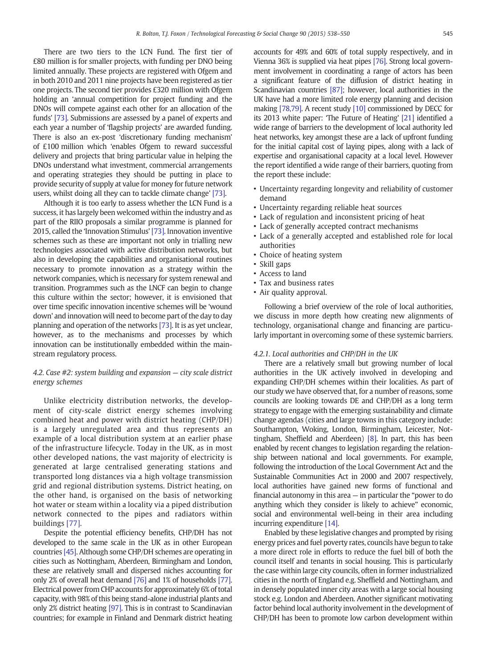There are two tiers to the LCN Fund. The first tier of £80 million is for smaller projects, with funding per DNO being limited annually. These projects are registered with Ofgem and in both 2010 and 2011 nine projects have been registered as tier one projects. The second tier provides £320 million with Ofgem holding an 'annual competition for project funding and the DNOs will compete against each other for an allocation of the funds' [\[73\]](#page-13-0). Submissions are assessed by a panel of experts and each year a number of 'flagship projects' are awarded funding. There is also an ex-post 'discretionary funding mechanism' of £100 million which 'enables Ofgem to reward successful delivery and projects that bring particular value in helping the DNOs understand what investment, commercial arrangements and operating strategies they should be putting in place to provide security of supply at value for money for future network users, whilst doing all they can to tackle climate change' [\[73\].](#page-13-0)

Although it is too early to assess whether the LCN Fund is a success, it has largely been welcomed within the industry and as part of the RIIO proposals a similar programme is planned for 2015, called the 'Innovation Stimulus' [\[73\]](#page-13-0). Innovation inventive schemes such as these are important not only in trialling new technologies associated with active distribution networks, but also in developing the capabilities and organisational routines necessary to promote innovation as a strategy within the network companies, which is necessary for system renewal and transition. Programmes such as the LNCF can begin to change this culture within the sector; however, it is envisioned that over time specific innovation incentive schemes will be 'wound down' and innovation will need to become part of the day to day planning and operation of the networks [\[73\].](#page-13-0) It is as yet unclear, however, as to the mechanisms and processes by which innovation can be institutionally embedded within the mainstream regulatory process.

#### 4.2. Case #2: system building and expansion — city scale district energy schemes

Unlike electricity distribution networks, the development of city-scale district energy schemes involving combined heat and power with district heating (CHP/DH) is a largely unregulated area and thus represents an example of a local distribution system at an earlier phase of the infrastructure lifecycle. Today in the UK, as in most other developed nations, the vast majority of electricity is generated at large centralised generating stations and transported long distances via a high voltage transmission grid and regional distribution systems. District heating, on the other hand, is organised on the basis of networking hot water or steam within a locality via a piped distribution network connected to the pipes and radiators within buildings [\[77\]](#page-13-0).

Despite the potential efficiency benefits, CHP/DH has not developed to the same scale in the UK as in other European countries [\[45\].](#page-12-0) Although some CHP/DH schemes are operating in cities such as Nottingham, Aberdeen, Birmingham and London, these are relatively small and dispersed niches accounting for only 2% of overall heat demand [\[76\]](#page-13-0) and 1% of households [\[77\]](#page-13-0). Electrical power from CHP accounts for approximately 6% of total capacity, with 98% of this being stand-alone industrial plants and only 2% district heating [\[97\].](#page-13-0) This is in contrast to Scandinavian countries; for example in Finland and Denmark district heating accounts for 49% and 60% of total supply respectively, and in Vienna 36% is supplied via heat pipes [\[76\]](#page-13-0). Strong local government involvement in coordinating a range of actors has been a significant feature of the diffusion of district heating in Scandinavian countries [\[87\]](#page-13-0); however, local authorities in the UK have had a more limited role energy planning and decision making [\[78,79\].](#page-13-0) A recent study [\[10\]](#page-12-0) commissioned by DECC for its 2013 white paper: 'The Future of Heating' [\[21\]](#page-12-0) identified a wide range of barriers to the development of local authority led heat networks, key amongst these are a lack of upfront funding for the initial capital cost of laying pipes, along with a lack of expertise and organisational capacity at a local level. However the report identified a wide range of their barriers, quoting from the report these include:

- Uncertainty regarding longevity and reliability of customer demand
- Uncertainty regarding reliable heat sources
- Lack of regulation and inconsistent pricing of heat
- Lack of generally accepted contract mechanisms
- Lack of a generally accepted and established role for local authorities
- Choice of heating system
- Skill gaps
- Access to land
- Tax and business rates
- Air quality approval.

Following a brief overview of the role of local authorities, we discuss in more depth how creating new alignments of technology, organisational change and financing are particularly important in overcoming some of these systemic barriers.

#### 4.2.1. Local authorities and CHP/DH in the UK

There are a relatively small but growing number of local authorities in the UK actively involved in developing and expanding CHP/DH schemes within their localities. As part of our study we have observed that, for a number of reasons, some councils are looking towards DE and CHP/DH as a long term strategy to engage with the emerging sustainability and climate change agendas (cities and large towns in this category include: Southampton, Woking, London, Birmingham, Leicester, Nottingham, Sheffield and Aberdeen) [\[8\]](#page-12-0). In part, this has been enabled by recent changes to legislation regarding the relationship between national and local governments. For example, following the introduction of the Local Government Act and the Sustainable Communities Act in 2000 and 2007 respectively, local authorities have gained new forms of functional and financial autonomy in this area — in particular the "power to do anything which they consider is likely to achieve" economic, social and environmental well-being in their area including incurring expenditure [\[14\]](#page-12-0).

Enabled by these legislative changes and prompted by rising energy prices and fuel poverty rates, councils have begun to take a more direct role in efforts to reduce the fuel bill of both the council itself and tenants in social housing. This is particularly the case within large city councils, often in former industrialized cities in the north of England e.g. Sheffield and Nottingham, and in densely populated inner city areas with a large social housing stock e.g. London and Aberdeen. Another significant motivating factor behind local authority involvement in the development of CHP/DH has been to promote low carbon development within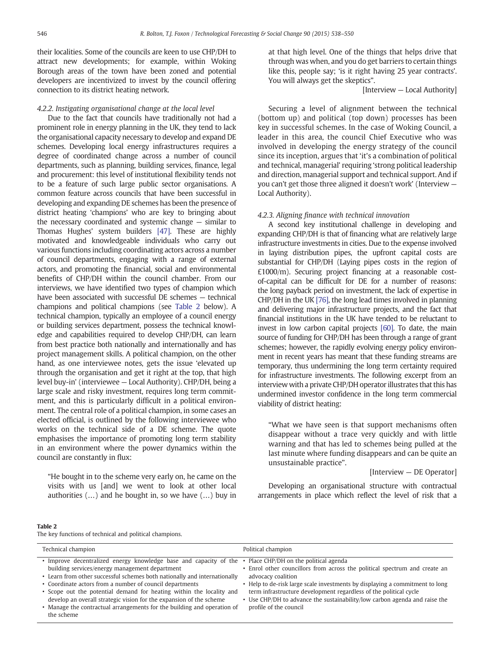their localities. Some of the councils are keen to use CHP/DH to attract new developments; for example, within Woking Borough areas of the town have been zoned and potential developers are incentivized to invest by the council offering connection to its district heating network.

#### 4.2.2. Instigating organisational change at the local level

Due to the fact that councils have traditionally not had a prominent role in energy planning in the UK, they tend to lack the organisational capacity necessary to develop and expand DE schemes. Developing local energy infrastructures requires a degree of coordinated change across a number of council departments, such as planning, building services, finance, legal and procurement: this level of institutional flexibility tends not to be a feature of such large public sector organisations. A common feature across councils that have been successful in developing and expanding DE schemes has been the presence of district heating 'champions' who are key to bringing about the necessary coordinated and systemic change — similar to Thomas Hughes' system builders [\[47\].](#page-12-0) These are highly motivated and knowledgeable individuals who carry out various functions including coordinating actors across a number of council departments, engaging with a range of external actors, and promoting the financial, social and environmental benefits of CHP/DH within the council chamber. From our interviews, we have identified two types of champion which have been associated with successful DE schemes — technical champions and political champions (see Table 2 below). A technical champion, typically an employee of a council energy or building services department, possess the technical knowledge and capabilities required to develop CHP/DH, can learn from best practice both nationally and internationally and has project management skills. A political champion, on the other hand, as one interviewee notes, gets the issue 'elevated up through the organisation and get it right at the top, that high level buy-in' (interviewee — Local Authority). CHP/DH, being a large scale and risky investment, requires long term commitment, and this is particularly difficult in a political environment. The central role of a political champion, in some cases an elected official, is outlined by the following interviewee who works on the technical side of a DE scheme. The quote emphasises the importance of promoting long term stability in an environment where the power dynamics within the council are constantly in flux:

"He bought in to the scheme very early on, he came on the visits with us [and] we went to look at other local authorities (…) and he bought in, so we have (…) buy in at that high level. One of the things that helps drive that through was when, and you do get barriers to certain things like this, people say; 'is it right having 25 year contracts'. You will always get the skeptics".

#### [Interview – Local Authority]

Securing a level of alignment between the technical (bottom up) and political (top down) processes has been key in successful schemes. In the case of Woking Council, a leader in this area, the council Chief Executive who was involved in developing the energy strategy of the council since its inception, argues that 'it's a combination of political and technical, managerial' requiring 'strong political leadership and direction, managerial support and technical support. And if you can't get those three aligned it doesn't work' (Interview — Local Authority).

#### 4.2.3. Aligning finance with technical innovation

A second key institutional challenge in developing and expanding CHP/DH is that of financing what are relatively large infrastructure investments in cities. Due to the expense involved in laying distribution pipes, the upfront capital costs are substantial for CHP/DH (Laying pipes costs in the region of £1000/m). Securing project financing at a reasonable costof-capital can be difficult for DE for a number of reasons: the long payback period on investment, the lack of expertise in CHP/DH in the UK [\[76\],](#page-13-0) the long lead times involved in planning and delivering major infrastructure projects, and the fact that financial institutions in the UK have tended to be reluctant to invest in low carbon capital projects [\[60\].](#page-13-0) To date, the main source of funding for CHP/DH has been through a range of grant schemes; however, the rapidly evolving energy policy environment in recent years has meant that these funding streams are temporary, thus undermining the long term certainty required for infrastructure investments. The following excerpt from an interview with a private CHP/DH operator illustrates that this has undermined investor confidence in the long term commercial viability of district heating:

"What we have seen is that support mechanisms often disappear without a trace very quickly and with little warning and that has led to schemes being pulled at the last minute where funding disappears and can be quite an unsustainable practice".

#### [Interview — DE Operator]

Developing an organisational structure with contractual arrangements in place which reflect the level of risk that a

#### Table 2

The key functions of technical and political champions.

| Technical champion                                                                                                                                                                                                                                                                                                                                                                                                                                                                                   | Political champion                                                                                                                                                                                                                                                                                                                                                                                      |
|------------------------------------------------------------------------------------------------------------------------------------------------------------------------------------------------------------------------------------------------------------------------------------------------------------------------------------------------------------------------------------------------------------------------------------------------------------------------------------------------------|---------------------------------------------------------------------------------------------------------------------------------------------------------------------------------------------------------------------------------------------------------------------------------------------------------------------------------------------------------------------------------------------------------|
| • Improve decentralized energy knowledge base and capacity of the<br>building services/energy management department<br>• Learn from other successful schemes both nationally and internationally<br>• Coordinate actors from a number of council departments<br>• Scope out the potential demand for heating within the locality and<br>develop an overall strategic vision for the expansion of the scheme<br>• Manage the contractual arrangements for the building and operation of<br>the scheme | • Place CHP/DH on the political agenda<br>• Enrol other councillors from across the political spectrum and create an<br>advocacy coalition<br>• Help to de-risk large scale investments by displaying a commitment to long<br>term infrastructure development regardless of the political cycle<br>• Use CHP/DH to advance the sustainability/low carbon agenda and raise the<br>profile of the council |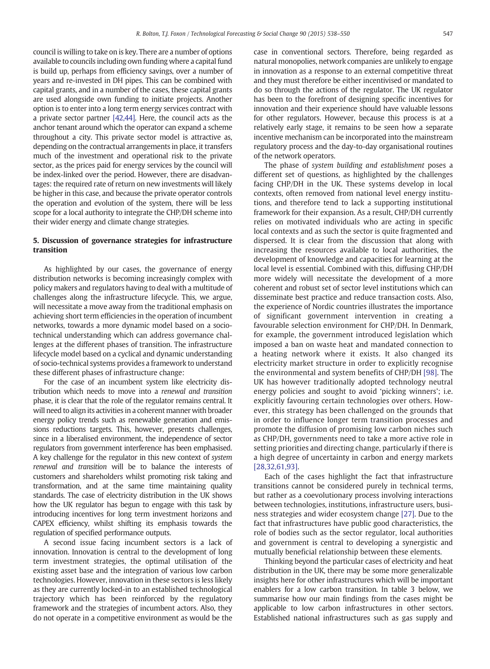council is willing to take on is key. There are a number of options available to councils including own funding where a capital fund is build up, perhaps from efficiency savings, over a number of years and re-invested in DH pipes. This can be combined with capital grants, and in a number of the cases, these capital grants are used alongside own funding to initiate projects. Another option is to enter into a long term energy services contract with a private sector partner [\[42,44\].](#page-12-0) Here, the council acts as the anchor tenant around which the operator can expand a scheme throughout a city. This private sector model is attractive as, depending on the contractual arrangements in place, it transfers much of the investment and operational risk to the private sector, as the prices paid for energy services by the council will be index-linked over the period. However, there are disadvantages: the required rate of return on new investments will likely be higher in this case, and because the private operator controls the operation and evolution of the system, there will be less scope for a local authority to integrate the CHP/DH scheme into their wider energy and climate change strategies.

#### 5. Discussion of governance strategies for infrastructure transition

As highlighted by our cases, the governance of energy distribution networks is becoming increasingly complex with policy makers and regulators having to deal with a multitude of challenges along the infrastructure lifecycle. This, we argue, will necessitate a move away from the traditional emphasis on achieving short term efficiencies in the operation of incumbent networks, towards a more dynamic model based on a sociotechnical understanding which can address governance challenges at the different phases of transition. The infrastructure lifecycle model based on a cyclical and dynamic understanding of socio-technical systems provides a framework to understand these different phases of infrastructure change:

For the case of an incumbent system like electricity distribution which needs to move into a renewal and transition phase, it is clear that the role of the regulator remains central. It will need to align its activities in a coherent manner with broader energy policy trends such as renewable generation and emissions reductions targets. This, however, presents challenges, since in a liberalised environment, the independence of sector regulators from government interference has been emphasised. A key challenge for the regulator in this new context of system renewal and transition will be to balance the interests of customers and shareholders whilst promoting risk taking and transformation, and at the same time maintaining quality standards. The case of electricity distribution in the UK shows how the UK regulator has begun to engage with this task by introducing incentives for long term investment horizons and CAPEX efficiency, whilst shifting its emphasis towards the regulation of specified performance outputs.

A second issue facing incumbent sectors is a lack of innovation. Innovation is central to the development of long term investment strategies, the optimal utilisation of the existing asset base and the integration of various low carbon technologies. However, innovation in these sectors is less likely as they are currently locked-in to an established technological trajectory which has been reinforced by the regulatory framework and the strategies of incumbent actors. Also, they do not operate in a competitive environment as would be the

case in conventional sectors. Therefore, being regarded as natural monopolies, network companies are unlikely to engage in innovation as a response to an external competitive threat and they must therefore be either incentivised or mandated to do so through the actions of the regulator. The UK regulator has been to the forefront of designing specific incentives for innovation and their experience should have valuable lessons for other regulators. However, because this process is at a relatively early stage, it remains to be seen how a separate incentive mechanism can be incorporated into the mainstream regulatory process and the day-to-day organisational routines of the network operators.

The phase of system building and establishment poses a different set of questions, as highlighted by the challenges facing CHP/DH in the UK. These systems develop in local contexts, often removed from national level energy institutions, and therefore tend to lack a supporting institutional framework for their expansion. As a result, CHP/DH currently relies on motivated individuals who are acting in specific local contexts and as such the sector is quite fragmented and dispersed. It is clear from the discussion that along with increasing the resources available to local authorities, the development of knowledge and capacities for learning at the local level is essential. Combined with this, diffusing CHP/DH more widely will necessitate the development of a more coherent and robust set of sector level institutions which can disseminate best practice and reduce transaction costs. Also, the experience of Nordic countries illustrates the importance of significant government intervention in creating a favourable selection environment for CHP/DH. In Denmark, for example, the government introduced legislation which imposed a ban on waste heat and mandated connection to a heating network where it exists. It also changed its electricity market structure in order to explicitly recognise the environmental and system benefits of CHP/DH [\[98\].](#page-13-0) The UK has however traditionally adopted technology neutral energy policies and sought to avoid 'picking winners'; i.e. explicitly favouring certain technologies over others. However, this strategy has been challenged on the grounds that in order to influence longer term transition processes and promote the diffusion of promising low carbon niches such as CHP/DH, governments need to take a more active role in setting priorities and directing change, particularly if there is a high degree of uncertainty in carbon and energy markets [\[28,32,61,93\].](#page-12-0)

Each of the cases highlight the fact that infrastructure transitions cannot be considered purely in technical terms, but rather as a coevolutionary process involving interactions between technologies, institutions, infrastructure users, business strategies and wider ecosystem change [\[27\]](#page-12-0). Due to the fact that infrastructures have public good characteristics, the role of bodies such as the sector regulator, local authorities and government is central to developing a synergistic and mutually beneficial relationship between these elements.

Thinking beyond the particular cases of electricity and heat distribution in the UK, there may be some more generalizable insights here for other infrastructures which will be important enablers for a low carbon transition. In table 3 below, we summarise how our main findings from the cases might be applicable to low carbon infrastructures in other sectors. Established national infrastructures such as gas supply and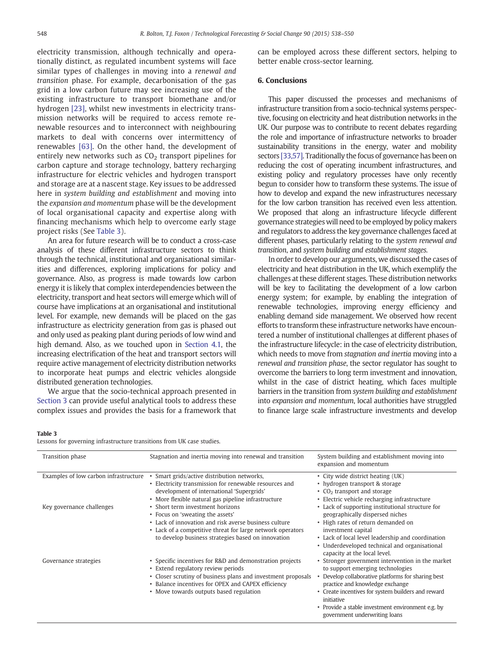electricity transmission, although technically and operationally distinct, as regulated incumbent systems will face similar types of challenges in moving into a renewal and transition phase. For example, decarbonisation of the gas grid in a low carbon future may see increasing use of the existing infrastructure to transport biomethane and/or hydrogen [\[23\]](#page-12-0), whilst new investments in electricity transmission networks will be required to access remote renewable resources and to interconnect with neighbouring markets to deal with concerns over intermittency of renewables [\[63\].](#page-13-0) On the other hand, the development of entirely new networks such as  $CO<sub>2</sub>$  transport pipelines for carbon capture and storage technology, battery recharging infrastructure for electric vehicles and hydrogen transport and storage are at a nascent stage. Key issues to be addressed here in system building and establishment and moving into the expansion and momentum phase will be the development of local organisational capacity and expertise along with financing mechanisms which help to overcome early stage project risks (See Table 3).

An area for future research will be to conduct a cross-case analysis of these different infrastructure sectors to think through the technical, institutional and organisational similarities and differences, exploring implications for policy and governance. Also, as progress is made towards low carbon energy it is likely that complex interdependencies between the electricity, transport and heat sectors will emerge which will of course have implications at an organisational and institutional level. For example, new demands will be placed on the gas infrastructure as electricity generation from gas is phased out and only used as peaking plant during periods of low wind and high demand. Also, as we touched upon in [Section 4.1](#page-6-0), the increasing electrification of the heat and transport sectors will require active management of electricity distribution networks to incorporate heat pumps and electric vehicles alongside distributed generation technologies.

We argue that the socio-technical approach presented in [Section 3](#page-4-0) can provide useful analytical tools to address these complex issues and provides the basis for a framework that can be employed across these different sectors, helping to better enable cross-sector learning.

#### 6. Conclusions

This paper discussed the processes and mechanisms of infrastructure transition from a socio-technical systems perspective, focusing on electricity and heat distribution networks in the UK. Our purpose was to contribute to recent debates regarding the role and importance of infrastructure networks to broader sustainability transitions in the energy, water and mobility sectors [\[33,57\]](#page-12-0). Traditionally the focus of governance has been on reducing the cost of operating incumbent infrastructures, and existing policy and regulatory processes have only recently begun to consider how to transform these systems. The issue of how to develop and expand the new infrastructures necessary for the low carbon transition has received even less attention. We proposed that along an infrastructure lifecycle different governance strategies will need to be employed by policy makers and regulators to address the key governance challenges faced at different phases, particularly relating to the system renewal and transition, and system building and establishment stages.

In order to develop our arguments, we discussed the cases of electricity and heat distribution in the UK, which exemplify the challenges at these different stages. These distribution networks will be key to facilitating the development of a low carbon energy system; for example, by enabling the integration of renewable technologies, improving energy efficiency and enabling demand side management. We observed how recent efforts to transform these infrastructure networks have encountered a number of institutional challenges at different phases of the infrastructure lifecycle: in the case of electricity distribution, which needs to move from stagnation and inertia moving into a renewal and transition phase, the sector regulator has sought to overcome the barriers to long term investment and innovation, whilst in the case of district heating, which faces multiple barriers in the transition from system building and establishment into expansion and momentum, local authorities have struggled to finance large scale infrastructure investments and develop

#### Table 3

Lessons for governing infrastructure transitions from UK case studies.

| Transition phase                                                   | Stagnation and inertia moving into renewal and transition                                                                                                                                                                                                                                                                                                                                                                                                         | System building and establishment moving into<br>expansion and momentum                                                                                                                                                                                                                                                                                                                                                                                 |
|--------------------------------------------------------------------|-------------------------------------------------------------------------------------------------------------------------------------------------------------------------------------------------------------------------------------------------------------------------------------------------------------------------------------------------------------------------------------------------------------------------------------------------------------------|---------------------------------------------------------------------------------------------------------------------------------------------------------------------------------------------------------------------------------------------------------------------------------------------------------------------------------------------------------------------------------------------------------------------------------------------------------|
| Examples of low carbon infrastructure<br>Key governance challenges | Smart grids/active distribution networks,<br>٠<br>• Electricity transmission for renewable resources and<br>development of international 'Supergrids'<br>• More flexible natural gas pipeline infrastructure<br>• Short term investment horizons<br>• Focus on 'sweating the assets'<br>• Lack of innovation and risk averse business culture<br>• Lack of a competitive threat for large network operators<br>to develop business strategies based on innovation | • City wide district heating (UK)<br>• hydrogen transport & storage<br>• CO <sub>2</sub> transport and storage<br>• Electric vehicle recharging infrastructure<br>• Lack of supporting institutional structure for<br>geographically dispersed niches<br>• High rates of return demanded on<br>investment capital<br>• Lack of local level leadership and coordination<br>• Underdeveloped technical and organisational<br>capacity at the local level. |
| Governance strategies                                              | • Specific incentives for R&D and demonstration projects<br>• Extend regulatory review periods<br>• Closer scrutiny of business plans and investment proposals<br>• Balance incentives for OPEX and CAPEX efficiency<br>• Move towards outputs based regulation                                                                                                                                                                                                   | • Stronger government intervention in the market<br>to support emerging technologies<br>• Develop collaborative platforms for sharing best<br>practice and knowledge exchange<br>• Create incentives for system builders and reward<br>initiative<br>• Provide a stable investment environment e.g. by<br>government underwriting loans                                                                                                                 |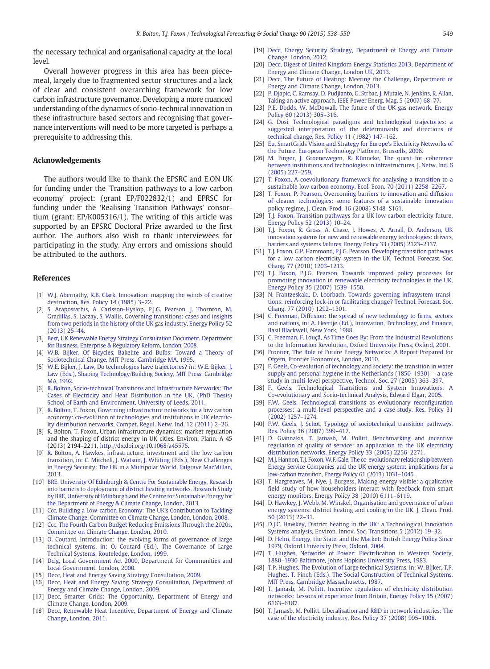<span id="page-12-0"></span>the necessary technical and organisational capacity at the local level.

Overall however progress in this area has been piecemeal, largely due to fragmented sector structures and a lack of clear and consistent overarching framework for low carbon infrastructure governance. Developing a more nuanced understanding of the dynamics of socio-technical innovation in these infrastructure based sectors and recognising that governance interventions will need to be more targeted is perhaps a prerequisite to addressing this.

#### Acknowledgements

The authors would like to thank the EPSRC and E.ON UK for funding under the 'Transition pathways to a low carbon economy' project: (grant EP/F022832/1) and EPRSC for funding under the 'Realising Transition Pathways' consortium (grant: EP/K005316/1). The writing of this article was supported by an EPSRC Doctoral Prize awarded to the first author. The authors also wish to thank interviewees for participating in the study. Any errors and omissions should be attributed to the authors.

#### References

- [1] [W.J. Abernathy, K.B. Clark, Innovation: mapping the winds of creative](http://refhub.elsevier.com/S0040-1625(14)00081-X/rf0005) [destruction, Res. Policy 14 \(1985\) 3](http://refhub.elsevier.com/S0040-1625(14)00081-X/rf0005)–22.
- [2] [S. Arapostathis, A. Carlsson-Hyslop, P.J.G. Pearson, J. Thornton, M.](http://refhub.elsevier.com/S0040-1625(14)00081-X/rf0405) [Gradillas, S. Laczay, S. Wallis, Governing transitions: cases and insights](http://refhub.elsevier.com/S0040-1625(14)00081-X/rf0405) [from two periods in the history of the UK gas industry, Energy Policy 52](http://refhub.elsevier.com/S0040-1625(14)00081-X/rf0405) [\(2013\) 25](http://refhub.elsevier.com/S0040-1625(14)00081-X/rf0405)–44.
- [3] [Berr, UK Renewable Energy Strategy Consultation Document. Department](http://refhub.elsevier.com/S0040-1625(14)00081-X/rf0015) [for Business, Enterprise & Regulatory Reform, London, 2008](http://refhub.elsevier.com/S0040-1625(14)00081-X/rf0015).
- [4] [W.B. Bijker, Of Bicycles, Bakelite and Bulbs: Toward a Theory of](http://refhub.elsevier.com/S0040-1625(14)00081-X/rf0020) [Sociotechnical Change, MIT Press, Cambridge MA, 1995](http://refhub.elsevier.com/S0040-1625(14)00081-X/rf0020).
- [5] [W.E. Bijker, J. Law, Do technologies have trajectories? in: W.E. Bijker, J.](http://refhub.elsevier.com/S0040-1625(14)00081-X/rf0025) [Law \(Eds.\), Shaping Technology/Building Society, MIT Press, Cambridge](http://refhub.elsevier.com/S0040-1625(14)00081-X/rf0025) [MA, 1992](http://refhub.elsevier.com/S0040-1625(14)00081-X/rf0025).
- [6] [R. Bolton, Socio-technical Transitions and Infrastructure Networks: The](http://refhub.elsevier.com/S0040-1625(14)00081-X/rf0410) [Cases of Electricity and Heat Distribution in the UK, \(PhD Thesis\)](http://refhub.elsevier.com/S0040-1625(14)00081-X/rf0410) [School of Earth and Environment, University of Leeds, 2011](http://refhub.elsevier.com/S0040-1625(14)00081-X/rf0410).
- [7] [R. Bolton, T. Foxon, Governing infrastructure networks for a low carbon](http://refhub.elsevier.com/S0040-1625(14)00081-X/rf0030) [economy: co-evolution of technologies and institutions in UK electric](http://refhub.elsevier.com/S0040-1625(14)00081-X/rf0030)[ity distribution networks, Compet. Regul. Netw. Ind. 12 \(2011\) 2](http://refhub.elsevier.com/S0040-1625(14)00081-X/rf0030)–26.
- [8] R. Bolton, T. Foxon, Urban infrastructure dynamics: market regulation and the shaping of district energy in UK cities, Environ. Plann. A 45 (2013) 2194–2211, http://dx.doi.org/[10.1068/a45575.](http://dx.doi.org/10.1068/a45575)
- [9] [R. Bolton, A. Hawkes, Infrastructure, investment and the low carbon](http://refhub.elsevier.com/S0040-1625(14)00081-X/rf0040) [transition, in: C. Mitchell, J. Watson, J. Whiting \(Eds.\), New Challenges](http://refhub.elsevier.com/S0040-1625(14)00081-X/rf0040) [in Energy Security: The UK in a Multipolar World, Palgrave MacMillan,](http://refhub.elsevier.com/S0040-1625(14)00081-X/rf0040) [2013](http://refhub.elsevier.com/S0040-1625(14)00081-X/rf0040).
- [10] [BRE, University Of Edinburgh & Centre For Sustainable Energy, Research](http://refhub.elsevier.com/S0040-1625(14)00081-X/rf0415) [into barriers to deployment of district heating networks, Research Study](http://refhub.elsevier.com/S0040-1625(14)00081-X/rf0415) [by BRE, University of Edinburgh and the Centre for Sustainable Energy for](http://refhub.elsevier.com/S0040-1625(14)00081-X/rf0415) [the Department of Energy & Climate Change, London, 2013](http://refhub.elsevier.com/S0040-1625(14)00081-X/rf0415).
- [11] [Ccc, Building a Low-carbon Economy: The UK's Contribution to Tackling](http://refhub.elsevier.com/S0040-1625(14)00081-X/rf0045) [Climate Change, Committee on Climate Change, London, London, 2008.](http://refhub.elsevier.com/S0040-1625(14)00081-X/rf0045)
- [12] [Ccc, The Fourth Carbon Budget Reducing Emissions Through the 2020s,](http://refhub.elsevier.com/S0040-1625(14)00081-X/rf0050) [Committee on Climate Change, London, 2010](http://refhub.elsevier.com/S0040-1625(14)00081-X/rf0050).
- [13] [O. Coutard, Introduction: the evolving forms of governance of large](http://refhub.elsevier.com/S0040-1625(14)00081-X/rf0055) [technical systems, in: O. Coutard \(Ed.\), The Governance of Large](http://refhub.elsevier.com/S0040-1625(14)00081-X/rf0055) [Technical Systems, Routeledge, London, 1999](http://refhub.elsevier.com/S0040-1625(14)00081-X/rf0055).
- [14] [Dclg, Local Government Act 2000, Department for Communities and](http://refhub.elsevier.com/S0040-1625(14)00081-X/rf0420) [Local Government, London, 2000](http://refhub.elsevier.com/S0040-1625(14)00081-X/rf0420).
- [15] [Decc, Heat and Energy Saving Strategy Consultation, 2009](http://refhub.elsevier.com/S0040-1625(14)00081-X/rf0425).
- [16] [Decc, Heat and Energy Saving Strategy Consultation, Department of](http://refhub.elsevier.com/S0040-1625(14)00081-X/rf0430) [Energy and Climate Change, London, 2009.](http://refhub.elsevier.com/S0040-1625(14)00081-X/rf0430)
- [17] [Decc, Smarter Grids: The Opportunity, Department of Energy and](http://refhub.elsevier.com/S0040-1625(14)00081-X/rf0435) [Climate Change, London, 2009.](http://refhub.elsevier.com/S0040-1625(14)00081-X/rf0435)
- [18] [Decc, Renewable Heat Incentive, Department of Energy and Climate](http://refhub.elsevier.com/S0040-1625(14)00081-X/rf0440) [Change, London, 2011](http://refhub.elsevier.com/S0040-1625(14)00081-X/rf0440).
- [19] [Decc, Energy Security Strategy, Department of Energy and Climate](http://refhub.elsevier.com/S0040-1625(14)00081-X/rf0445) [Change, London, 2012](http://refhub.elsevier.com/S0040-1625(14)00081-X/rf0445).
- [20] [Decc, Digest of United Kingdom Energy Statistics 2013, Department of](http://refhub.elsevier.com/S0040-1625(14)00081-X/rf0450) [Energy and Climate Change, London UK, 2013](http://refhub.elsevier.com/S0040-1625(14)00081-X/rf0450).
- [21] [Decc, The Future of Heating: Meeting the Challenge, Department of](http://refhub.elsevier.com/S0040-1625(14)00081-X/rf0455) [Energy and Climate Change, London, 2013.](http://refhub.elsevier.com/S0040-1625(14)00081-X/rf0455)
- [22] [P. Djapic, C. Ramsay, D. Pudjianto, G. Strbac, J. Mutale, N. Jenkins, R. Allan,](http://refhub.elsevier.com/S0040-1625(14)00081-X/rf0095) [Taking an active approach, IEEE Power Energ. Mag. 5 \(2007\) 68](http://refhub.elsevier.com/S0040-1625(14)00081-X/rf0095)–77.
- [23] [P.E. Dodds, W. McDowall, The future of the UK gas network, Energy](http://refhub.elsevier.com/S0040-1625(14)00081-X/rf0100) [Policy 60 \(2013\) 305](http://refhub.elsevier.com/S0040-1625(14)00081-X/rf0100)–316.
- [24] [G. Dosi, Technological paradigms and technological trajectories: a](http://refhub.elsevier.com/S0040-1625(14)00081-X/rf0105) [suggested interpretation of the determinants and directions of](http://refhub.elsevier.com/S0040-1625(14)00081-X/rf0105) [technical change, Res. Policy 11 \(1982\) 147](http://refhub.elsevier.com/S0040-1625(14)00081-X/rf0105)–162.
- [25] [Eu, SmartGrids Vision and Strategy for Europe's Electricity Networks of](http://refhub.elsevier.com/S0040-1625(14)00081-X/rf0460) [the Future, European Technology Platform, Brussells, 2006.](http://refhub.elsevier.com/S0040-1625(14)00081-X/rf0460)
- [26] [M. Finger, J. Groenewegen, R. Künneke, The quest for coherence](http://refhub.elsevier.com/S0040-1625(14)00081-X/rf0115) [between institutions and technologies in infrastructures, J. Netw. Ind. 6](http://refhub.elsevier.com/S0040-1625(14)00081-X/rf0115) [\(2005\) 227](http://refhub.elsevier.com/S0040-1625(14)00081-X/rf0115)–259.
- [27] [T. Foxon, A coevolutionary framework for analysing a transition to a](http://refhub.elsevier.com/S0040-1625(14)00081-X/rf0120) [sustainable low carbon economy, Ecol. Econ. 70 \(2011\) 2258](http://refhub.elsevier.com/S0040-1625(14)00081-X/rf0120)–2267.
- [28] [T. Foxon, P. Pearson, Overcoming barriers to innovation and diffusion](http://refhub.elsevier.com/S0040-1625(14)00081-X/rf0125) [of cleaner technologies: some features of a sustainable innovation](http://refhub.elsevier.com/S0040-1625(14)00081-X/rf0125) [policy regime, J. Clean. Prod. 16 \(2008\) S148](http://refhub.elsevier.com/S0040-1625(14)00081-X/rf0125)–S161.
- [29] [T.J. Foxon, Transition pathways for a UK low carbon electricity future,](http://refhub.elsevier.com/S0040-1625(14)00081-X/rf0130) [Energy Policy 52 \(2013\) 10](http://refhub.elsevier.com/S0040-1625(14)00081-X/rf0130)–24.
- [30] [T.J. Foxon, R. Gross, A. Chase, J. Howes, A. Arnall, D. Anderson, UK](http://refhub.elsevier.com/S0040-1625(14)00081-X/rf0135) [innovation systems for new and renewable energy technologies: drivers,](http://refhub.elsevier.com/S0040-1625(14)00081-X/rf0135) [barriers and systems failures, Energy Policy 33 \(2005\) 2123](http://refhub.elsevier.com/S0040-1625(14)00081-X/rf0135)–2137.
- [31] [T.J. Foxon, G.P. Hammond, P.J.G. Pearson, Developing transition pathways](http://refhub.elsevier.com/S0040-1625(14)00081-X/rf0140) [for a low carbon electricity system in the UK, Technol. Forecast. Soc.](http://refhub.elsevier.com/S0040-1625(14)00081-X/rf0140) [Chang. 77 \(2010\) 1203](http://refhub.elsevier.com/S0040-1625(14)00081-X/rf0140)–1213.
- [32] [T.J. Foxon, P.J.G. Pearson, Towards improved policy processes for](http://refhub.elsevier.com/S0040-1625(14)00081-X/rf0145) [promoting innovation in renewable electricity technologies in the UK,](http://refhub.elsevier.com/S0040-1625(14)00081-X/rf0145) [Energy Policy 35 \(2007\) 1539](http://refhub.elsevier.com/S0040-1625(14)00081-X/rf0145)–1550.
- [33] [N. Frantzeskaki, D. Loorbach, Towards governing infrasystem transi](http://refhub.elsevier.com/S0040-1625(14)00081-X/rf0150)[tions: reinforcing lock-in or facilitating change? Technol. Forecast. Soc.](http://refhub.elsevier.com/S0040-1625(14)00081-X/rf0150) [Chang. 77 \(2010\) 1292](http://refhub.elsevier.com/S0040-1625(14)00081-X/rf0150)–1301.
- [34] [C. Freeman, Diffusion: the spread of new technology to firms, sectors](http://refhub.elsevier.com/S0040-1625(14)00081-X/rf0155) [and nations, in: A. Heertje \(Ed.\), Innovation, Technology, and Finance,](http://refhub.elsevier.com/S0040-1625(14)00081-X/rf0155) [Basil Blackwell, New York, 1988](http://refhub.elsevier.com/S0040-1625(14)00081-X/rf0155).
- [35] [C. Freeman, F. Louçã, As Time Goes By: From the Industrial Revolutions](http://refhub.elsevier.com/S0040-1625(14)00081-X/rf0160) [to the Information Revolution, Oxford University Press, Oxford, 2001](http://refhub.elsevier.com/S0040-1625(14)00081-X/rf0160).
- [36] [Frontier, The Role of Future Energy Networks: A Report Prepared for](http://refhub.elsevier.com/S0040-1625(14)00081-X/rf0165) [Ofgem, Frontier Economics, London, 2010.](http://refhub.elsevier.com/S0040-1625(14)00081-X/rf0165)
- [37] [F. Geels, Co-evolution of technology and society: the transition in water](http://refhub.elsevier.com/S0040-1625(14)00081-X/rf0170) [supply and personal hygiene in the Netherlands \(1850](http://refhub.elsevier.com/S0040-1625(14)00081-X/rf0170)–1930) — a case [study in multi-level perspective, Technol. Soc. 27 \(2005\) 363](http://refhub.elsevier.com/S0040-1625(14)00081-X/rf0170)–397.
- [38] [F. Geels, Technological Transitions and System Innovations: A](http://refhub.elsevier.com/S0040-1625(14)00081-X/rf0175) [Co-evolutionary and Socio-technical Analysis, Edward Elgar, 2005](http://refhub.elsevier.com/S0040-1625(14)00081-X/rf0175).
- [39] [F.W. Geels, Technological transitions as evolutionary reconfiguration](http://refhub.elsevier.com/S0040-1625(14)00081-X/rf0180) [processes: a multi-level perspective and a case-study, Res. Policy 31](http://refhub.elsevier.com/S0040-1625(14)00081-X/rf0180) [\(2002\) 1257](http://refhub.elsevier.com/S0040-1625(14)00081-X/rf0180)–1274.
- [40] [F.W. Geels, J. Schot, Typology of sociotechnical transition pathways,](http://refhub.elsevier.com/S0040-1625(14)00081-X/rf0185) [Res. Policy 36 \(2007\) 399](http://refhub.elsevier.com/S0040-1625(14)00081-X/rf0185)–417.
- [41] [D. Giannakis, T. Jamasb, M. Pollitt, Benchmarking and incentive](http://refhub.elsevier.com/S0040-1625(14)00081-X/rf0190) [regulation of quality of service: an application to the UK electricity](http://refhub.elsevier.com/S0040-1625(14)00081-X/rf0190) [distribution networks, Energy Policy 33 \(2005\) 2256](http://refhub.elsevier.com/S0040-1625(14)00081-X/rf0190)–2271.
- [42] M.J. Hannon, T.J. Foxon, W.F. Gale, The co-evolutionary relationship between [Energy Service Companies and the UK energy system: implications for a](http://refhub.elsevier.com/S0040-1625(14)00081-X/rf0195) [low-carbon transition, Energy Policy 61 \(2013\) 1031](http://refhub.elsevier.com/S0040-1625(14)00081-X/rf0195)–1045.
- [43] [T. Hargreaves, M. Nye, J. Burgess, Making energy visible: a qualitative](http://refhub.elsevier.com/S0040-1625(14)00081-X/rf0200) [field study of how householders interact with feedback from smart](http://refhub.elsevier.com/S0040-1625(14)00081-X/rf0200) [energy monitors, Energy Policy 38 \(2010\) 6111](http://refhub.elsevier.com/S0040-1625(14)00081-X/rf0200)–6119.
- [44] [D. Hawkey, J. Webb, M. Winskel, Organisation and governance of urban](http://refhub.elsevier.com/S0040-1625(14)00081-X/rf0205) [energy systems: district heating and cooling in the UK, J. Clean. Prod.](http://refhub.elsevier.com/S0040-1625(14)00081-X/rf0205) [50 \(2013\) 22](http://refhub.elsevier.com/S0040-1625(14)00081-X/rf0205)–31.
- [45] [D.J.C. Hawkey, District heating in the UK: a Technological Innovation](http://refhub.elsevier.com/S0040-1625(14)00081-X/rf0210) [Systems analysis, Environ. Innov. Soc. Transitions 5 \(2012\) 19](http://refhub.elsevier.com/S0040-1625(14)00081-X/rf0210)–32.
- [46] [D. Helm, Energy, the State, and the Market: British Energy Policy Since](http://refhub.elsevier.com/S0040-1625(14)00081-X/rf0215) [1979, Oxford University Press, Oxford, 2004](http://refhub.elsevier.com/S0040-1625(14)00081-X/rf0215).
- [47] [T. Hughes, Networks of Power: Electrification in Western Society,](http://refhub.elsevier.com/S0040-1625(14)00081-X/rf0220) 1880–[1930 Baltimore, Johns Hopkins University Press, 1983](http://refhub.elsevier.com/S0040-1625(14)00081-X/rf0220).
- [48] [T.P. Hughes, The Evolution of Large technical Systems, in: W. Bijker, T.P.](http://refhub.elsevier.com/S0040-1625(14)00081-X/rf0225) [Hughes, T. Pinch \(Eds.\), The Social Construction of Technical Systems,](http://refhub.elsevier.com/S0040-1625(14)00081-X/rf0225) [MIT Press, Cambridge Massachusetts, 1987](http://refhub.elsevier.com/S0040-1625(14)00081-X/rf0225).
- [49] [T. Jamasb, M. Pollitt, Incentive regulation of electricity distribution](http://refhub.elsevier.com/S0040-1625(14)00081-X/rf0230) [networks: Lessons of experience from Britain, Energy Policy 35 \(2007\)](http://refhub.elsevier.com/S0040-1625(14)00081-X/rf0230) 6163–[6187.](http://refhub.elsevier.com/S0040-1625(14)00081-X/rf0230)
- [50] [T. Jamasb, M. Pollitt, Liberalisation and R&D in network industries: The](http://refhub.elsevier.com/S0040-1625(14)00081-X/rf0235) [case of the electricity industry, Res. Policy 37 \(2008\) 995](http://refhub.elsevier.com/S0040-1625(14)00081-X/rf0235)–1008.